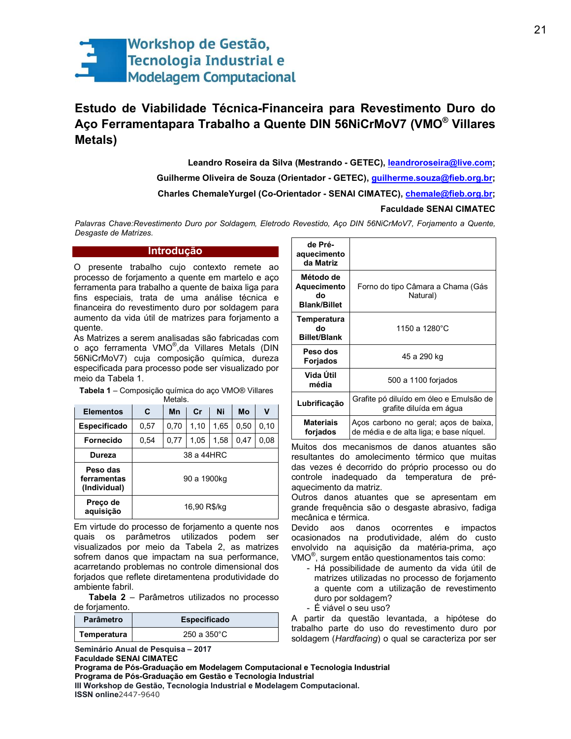

# Estudo de Viabilidade Técnica-Financeira para Revestimento Duro do Aço Ferramentapara Trabalho a Quente DIN 56NiCrMoV7 (VMO® Villares **Metals**)

Leandro Roseira da Silva (Mestrando - GETEC), leandroroseira@live.com; Guilherme Oliveira de Souza (Orientador - GETEC), guilherme.souza@fieb.org.br; Charles ChemaleYurgel (Co-Orientador - SENAI CIMATEC), *chemale@fieb.org.br;* **Faculdade SENAI CIMATEC** 

Palavras Chave:Revestimento Duro por Soldagem, Eletrodo Revestido, Aço DIN 56NiCrMoV7, Forjamento a Quente, Desgaste de Matrizes.

# Introdução

O presente trabalho cujo contexto remete ao processo de forjamento a quente em martelo e aço ferramenta para trabalho a quente de baixa liga para fins especiais, trata de uma análise técnica e financeira do revestimento duro por soldagem para aumento da vida útil de matrizes para forjamento a quente.

As Matrizes a serem analisadas são fabricadas com o aço ferramenta VMO®, da Villares Metals (DIN 56NiCrMoV7) cuja composição química, dureza especificada para processo pode ser visualizado por meio da Tabela 1.

Tabela 1 - Composição química do aço VMO® Villares Metals

| <b>Elementos</b>                        | C            | Mn   | cr   | Ni   | Mo   | ٧    |
|-----------------------------------------|--------------|------|------|------|------|------|
| <b>Especificado</b>                     | 0,57         | 0,70 | 1,10 | 1.65 | 0.50 | 0,10 |
| Fornecido                               | 0,54         | 0.77 | 1.05 | 1.58 | 0.47 | 0,08 |
| <b>Dureza</b>                           | 38 a 44HRC   |      |      |      |      |      |
| Peso das<br>ferramentas<br>(Individual) | 90 a 1900kg  |      |      |      |      |      |
| Preco de<br>aquisicão                   | 16,90 R\$/kg |      |      |      |      |      |

Em virtude do processo de forjamento a quente nos quais os parâmetros utilizados podem ser visualizados por meio da Tabela 2, as matrizes sofrem danos que impactam na sua performance, acarretando problemas no controle dimensional dos forjados que reflete diretamentena produtividade do ambiente fabril.

Tabela 2 - Parâmetros utilizados no processo de forjamento.

| <b>Parâmetro</b> | <b>Especificado</b> |  |  |
|------------------|---------------------|--|--|
| Temperatura      | $250a350^{\circ}$ C |  |  |

Seminário Anual de Pesquisa - 2017

Programa de Pós-Graduação em Gestão e Tecnologia Industrial

| de Pré-<br>aquecimento<br>da Matriz                   |                                                                                  |  |
|-------------------------------------------------------|----------------------------------------------------------------------------------|--|
| Método de<br>Aquecimento<br>ძი<br><b>Blank/Billet</b> | Forno do tipo Câmara a Chama (Gás<br>Natural)                                    |  |
| Temperatura<br>do<br><b>Billet/Blank</b>              | 1150 a 1280°C                                                                    |  |
| Peso dos<br>Forjados                                  | 45 a 290 kg                                                                      |  |
| Vida Útil<br>média                                    | 500 a 1100 forjados                                                              |  |
| Lubrificação                                          | Grafite pó diluído em óleo e Emulsão de<br>grafite diluída em água               |  |
| <b>Materiais</b><br>forjados                          | Aços carbono no geral, aços de baixa,<br>de média e de alta liga; e base níquel. |  |

Muitos dos mecanismos de danos atuantes são resultantes do amolecimento térmico que muitas das vezes é decorrido do próprio processo ou do controle inadequado da temperatura de préaquecimento da matriz.

Outros danos atuantes que se apresentam em grande freguência são o desgaste abrasivo, fadiga mecânica e térmica.

Devido aos danos ocorrentes e impactos ocasionados na produtividade, além do custo envolvido na aquisição da matéria-prima, aço VMO<sup>®</sup>, surgem então questionamentos tais como:

- Há possibilidade de aumento da vida útil de matrizes utilizadas no processo de forjamento a quente com a utilização de revestimento duro por soldagem?
- É viável o seu uso?

A partir da questão levantada, a hipótese do trabalho parte do uso do revestimento duro por soldagem (Hardfacing) o qual se caracteriza por ser

**Faculdade SENAI CIMATEC** 

Programa de Pós-Graduação em Modelagem Computacional e Tecnologia Industrial

III Workshop de Gestão, Tecnologia Industrial e Modelagem Computacional. **ISSN online**2447-9640